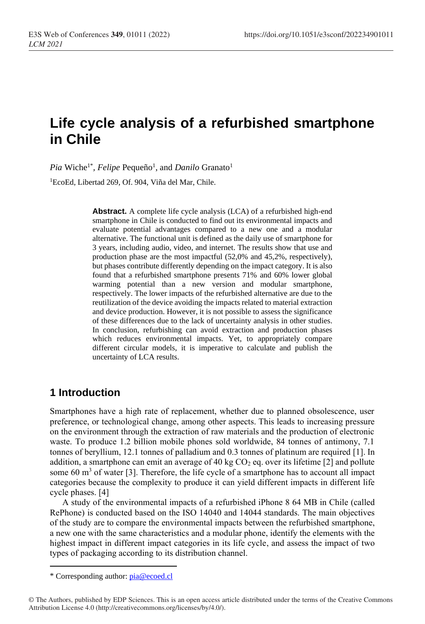# **Life cycle analysis of a refurbished smartphone in Chile**

*Pia* Wiche<sup>1\*</sup>, *Felipe* Pequeño<sup>1</sup>, and *Danilo* Granato<sup>1</sup>

<sup>1</sup>EcoEd, Libertad 269, Of. 904, Viña del Mar, Chile.

**Abstract.** A complete life cycle analysis (LCA) of a refurbished high-end smartphone in Chile is conducted to find out its environmental impacts and evaluate potential advantages compared to a new one and a modular alternative. The functional unit is defined as the daily use of smartphone for 3 years, including audio, video, and internet. The results show that use and production phase are the most impactful (52,0% and 45,2%, respectively), but phases contribute differently depending on the impact category. It is also found that a refurbished smartphone presents 71% and 60% lower global warming potential than a new version and modular smartphone, respectively. The lower impacts of the refurbished alternative are due to the reutilization of the device avoiding the impacts related to material extraction and device production. However, it is not possible to assess the significance of these differences due to the lack of uncertainty analysis in other studies. In conclusion, refurbishing can avoid extraction and production phases which reduces environmental impacts. Yet, to appropriately compare different circular models, it is imperative to calculate and publish the uncertainty of LCA results.

# **1 Introduction**

Smartphones have a high rate of replacement, whether due to planned obsolescence, user preference, or technological change, among other aspects. This leads to increasing pressure on the environment through the extraction of raw materials and the production of electronic waste. To produce 1.2 billion mobile phones sold worldwide, 84 tonnes of antimony, 7.1 tonnes of beryllium, 12.1 tonnes of palladium and 0.3 tonnes of platinum are required [1]. In addition, a smartphone can emit an average of 40 kg  $CO<sub>2</sub>$  eq. over its lifetime [2] and pollute some 60  $\text{m}^3$  of water [3]. Therefore, the life cycle of a smartphone has to account all impact categories because the complexity to produce it can yield different impacts in different life cycle phases. [4]

A study of the environmental impacts of a refurbished iPhone 8 64 MB in Chile (called RePhone) is conducted based on the ISO 14040 and 14044 standards. The main objectives of the study are to compare the environmental impacts between the refurbished smartphone, a new one with the same characteristics and a modular phone, identify the elements with the highest impact in different impact categories in its life cycle, and assess the impact of two types of packaging according to its distribution channel.

<sup>\*</sup> Corresponding author: [pia@ecoed.cl](mailto:pia@ecoed.cl)

<sup>©</sup> The Authors, published by EDP Sciences. This is an open access article distributed under the terms of the Creative Commons Attribution License 4.0 (http://creativecommons.org/licenses/by/4.0/).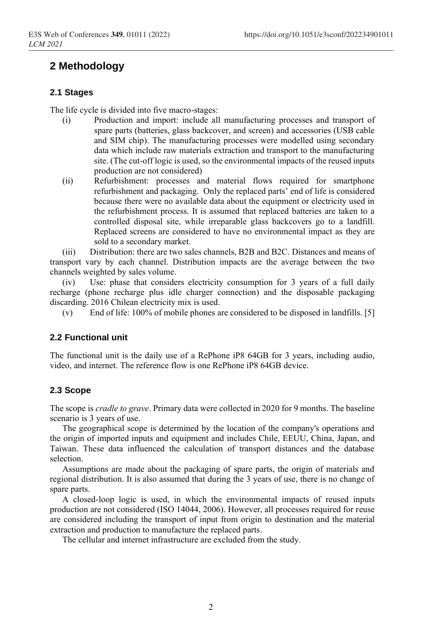# **2 Methodology**

## **2.1 Stages**

The life cycle is divided into five macro-stages:

- (i) Production and import: include all manufacturing processes and transport of spare parts (batteries, glass backcover, and screen) and accessories (USB cable and SIM chip). The manufacturing processes were modelled using secondary data which include raw materials extraction and transport to the manufacturing site. (The cut-off logic is used, so the environmental impacts of the reused inputs production are not considered)
- (ii) Refurbishment: processes and material flows required for smartphone refurbishment and packaging. Only the replaced parts' end of life is considered because there were no available data about the equipment or electricity used in the refurbishment process. It is assumed that replaced batteries are taken to a controlled disposal site, while irreparable glass backcovers go to a landfill. Replaced screens are considered to have no environmental impact as they are sold to a secondary market.

(iii) Distribution: there are two sales channels, B2B and B2C. Distances and means of transport vary by each channel. Distribution impacts are the average between the two channels weighted by sales volume.

(iv) Use: phase that considers electricity consumption for 3 years of a full daily recharge (phone recharge plus idle charger connection) and the disposable packaging discarding. 2016 Chilean electricity mix is used.

(v) End of life: 100% of mobile phones are considered to be disposed in landfills. [5]

## **2.2 Functional unit**

The functional unit is the daily use of a RePhone iP8 64GB for 3 years, including audio, video, and internet. The reference flow is one RePhone iP8 64GB device.

## **2.3 Scope**

The scope is *cradle to grave*. Primary data were collected in 2020 for 9 months. The baseline scenario is 3 years of use.

The geographical scope is determined by the location of the company's operations and the origin of imported inputs and equipment and includes Chile, EEUU, China, Japan, and Taiwan. These data influenced the calculation of transport distances and the database selection.

Assumptions are made about the packaging of spare parts, the origin of materials and regional distribution. It is also assumed that during the 3 years of use, there is no change of spare parts.

A closed-loop logic is used, in which the environmental impacts of reused inputs production are not considered (ISO 14044, 2006). However, all processes required for reuse are considered including the transport of input from origin to destination and the material extraction and production to manufacture the replaced parts.

The cellular and internet infrastructure are excluded from the study.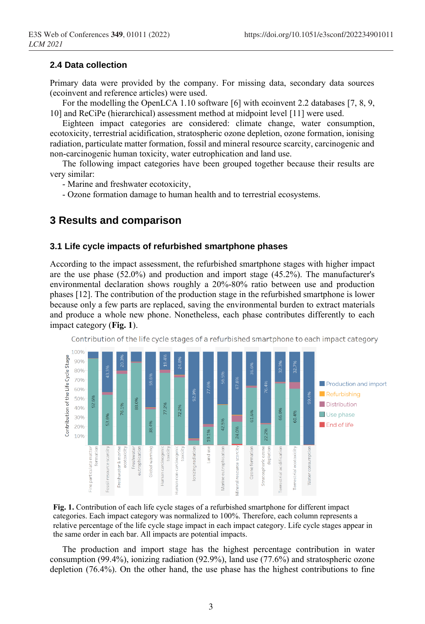# **2.4 Data collection**

Primary data were provided by the company. For missing data, secondary data sources (ecoinvent and reference articles) were used.

For the modelling the OpenLCA 1.10 software [6] with ecoinvent 2.2 databases [7, 8, 9, 10] and ReCiPe (hierarchical) assessment method at midpoint level [11] were used.

Eighteen impact categories are considered: climate change, water consumption, ecotoxicity, terrestrial acidification, stratospheric ozone depletion, ozone formation, ionising radiation, particulate matter formation, fossil and mineral resource scarcity, carcinogenic and non-carcinogenic human toxicity, water eutrophication and land use.

The following impact categories have been grouped together because their results are very similar:

- Marine and freshwater ecotoxicity,

- Ozone formation damage to human health and to terrestrial ecosystems.

# **3 Results and comparison**

## **3.1 Life cycle impacts of refurbished smartphone phases**

According to the impact assessment, the refurbished smartphone stages with higher impact are the use phase (52.0%) and production and import stage (45.2%). The manufacturer's environmental declaration shows roughly a 20%-80% ratio between use and production phases [12]. The contribution of the production stage in the refurbished smartphone is lower because only a few parts are replaced, saving the environmental burden to extract materials and produce a whole new phone. Nonetheless, each phase contributes differently to each impact category (**[Fig.](#page-2-0) 1**).



Contribution of the life cycle stages of a refurbished smartphone to each impact category

<span id="page-2-0"></span>**Fig. 1.** Contribution of each life cycle stages of a refurbished smartphone for different impact categories. Each impact category was normalized to 100%. Therefore, each column represents a relative percentage of the life cycle stage impact in each impact category. Life cycle stages appear in the same order in each bar. All impacts are potential impacts.

The production and import stage has the highest percentage contribution in water consumption (99.4%), ionizing radiation (92.9%), land use (77.6%) and stratospheric ozone depletion (76.4%). On the other hand, the use phase has the highest contributions to fine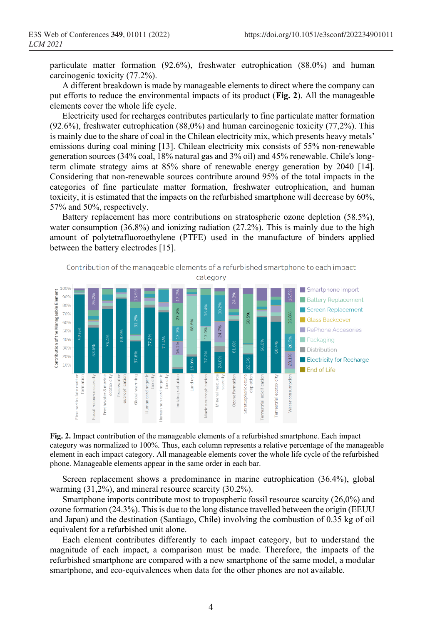particulate matter formation (92.6%), freshwater eutrophication (88.0%) and human carcinogenic toxicity (77.2%).

A different breakdown is made by manageable elements to direct where the company can put efforts to reduce the environmental impacts of its product (**[Fig. 2](#page-3-0)**). All the manageable elements cover the whole life cycle.

Electricity used for recharges contributes particularly to fine particulate matter formation (92.6%), freshwater eutrophication (88,0%) and human carcinogenic toxicity (77,2%). This is mainly due to the share of coal in the Chilean electricity mix, which presents heavy metals' emissions during coal mining [13]. Chilean electricity mix consists of 55% non-renewable generation sources (34% coal, 18% natural gas and 3% oil) and 45% renewable. Chile's longterm climate strategy aims at 85% share of renewable energy generation by 2040 [14]. Considering that non-renewable sources contribute around 95% of the total impacts in the categories of fine particulate matter formation, freshwater eutrophication, and human toxicity, it is estimated that the impacts on the refurbished smartphone will decrease by 60%, 57% and 50%, respectively.

Battery replacement has more contributions on stratospheric ozone depletion (58.5%), water consumption (36.8%) and ionizing radiation (27.2%). This is mainly due to the high amount of polytetrafluoroethylene (PTFE) used in the manufacture of binders applied between the battery electrodes [15].



<span id="page-3-0"></span>**Fig. 2.** Impact contribution of the manageable elements of a refurbished smartphone. Each impact category was normalized to 100%. Thus, each column represents a relative percentage of the manageable element in each impact category. All manageable elements cover the whole life cycle of the refurbished phone. Manageable elements appear in the same order in each bar.

Screen replacement shows a predominance in marine eutrophication (36.4%), global warming (31,2%), and mineral resource scarcity (30.2%).

Smartphone imports contribute most to tropospheric fossil resource scarcity (26,0%) and ozone formation (24.3%). This is due to the long distance travelled between the origin (EEUU and Japan) and the destination (Santiago, Chile) involving the combustion of 0.35 kg of oil equivalent for a refurbished unit alone.

Each element contributes differently to each impact category, but to understand the magnitude of each impact, a comparison must be made. Therefore, the impacts of the refurbished smartphone are compared with a new smartphone of the same model, a modular smartphone, and eco-equivalences when data for the other phones are not available.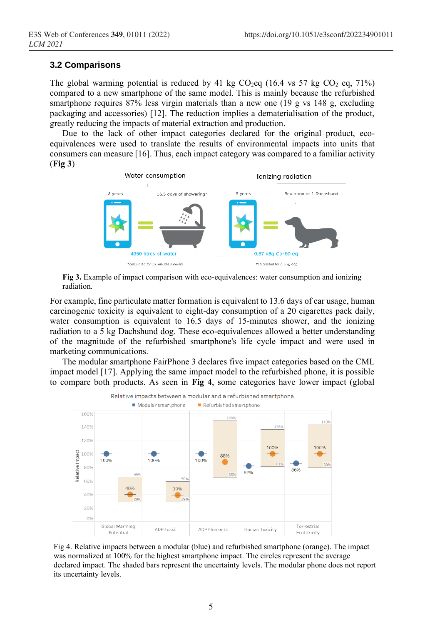## **3.2 Comparisons**

The global warming potential is reduced by 41 kg  $CO_2$ eq (16.4 vs 57 kg  $CO_2$  eq, 71%) compared to a new smartphone of the same model. This is mainly because the refurbished smartphone requires 87% less virgin materials than a new one (19 g vs 148 g, excluding packaging and accessories) [12]. The reduction implies a dematerialisation of the product, greatly reducing the impacts of material extraction and production.

Due to the lack of other impact categories declared for the original product, ecoequivalences were used to translate the results of environmental impacts into units that consumers can measure [16]. Thus, each impact category was compared to a familiar activity (**Fig 3**)



**Fig 3.** Example of impact comparison with eco-equivalences: water consumption and ionizing radiation.

For example, fine particulate matter formation is equivalent to 13.6 days of car usage, human carcinogenic toxicity is equivalent to eight-day consumption of a 20 cigarettes pack daily, water consumption is equivalent to 16.5 days of 15-minutes shower, and the ionizing radiation to a 5 kg Dachshund dog. These eco-equivalences allowed a better understanding of the magnitude of the refurbished smartphone's life cycle impact and were used in marketing communications.

The modular smartphone FairPhone 3 declares five impact categories based on the CML impact model [17]. Applying the same impact model to the refurbished phone, it is possible to compare both products. As seen in **Fig 4**, some categories have lower impact (global



Fig 4. Relative impacts between a modular (blue) and refurbished smartphone (orange). The impact was normalized at 100% for the highest smartphone impact. The circles represent the average declared impact. The shaded bars represent the uncertainty levels. The modular phone does not report its uncertainty levels.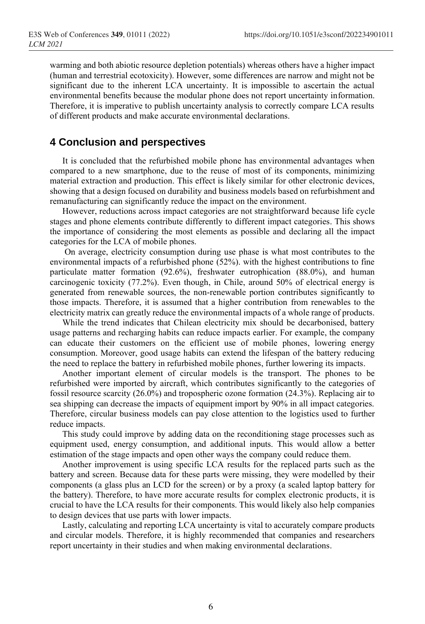warming and both abiotic resource depletion potentials) whereas others have a higher impact (human and terrestrial ecotoxicity). However, some differences are narrow and might not be significant due to the inherent LCA uncertainty. It is impossible to ascertain the actual environmental benefits because the modular phone does not report uncertainty information. Therefore, it is imperative to publish uncertainty analysis to correctly compare LCA results of different products and make accurate environmental declarations.

# **4 Conclusion and perspectives**

It is concluded that the refurbished mobile phone has environmental advantages when compared to a new smartphone, due to the reuse of most of its components, minimizing material extraction and production. This effect is likely similar for other electronic devices, showing that a design focused on durability and business models based on refurbishment and remanufacturing can significantly reduce the impact on the environment.

However, reductions across impact categories are not straightforward because life cycle stages and phone elements contribute differently to different impact categories. This shows the importance of considering the most elements as possible and declaring all the impact categories for the LCA of mobile phones.

On average, electricity consumption during use phase is what most contributes to the environmental impacts of a refurbished phone (52%). with the highest contributions to fine particulate matter formation (92.6%), freshwater eutrophication (88.0%), and human carcinogenic toxicity (77.2%). Even though, in Chile, around 50% of electrical energy is generated from renewable sources, the non-renewable portion contributes significantly to those impacts. Therefore, it is assumed that a higher contribution from renewables to the electricity matrix can greatly reduce the environmental impacts of a whole range of products.

While the trend indicates that Chilean electricity mix should be decarbonised, battery usage patterns and recharging habits can reduce impacts earlier. For example, the company can educate their customers on the efficient use of mobile phones, lowering energy consumption. Moreover, good usage habits can extend the lifespan of the battery reducing the need to replace the battery in refurbished mobile phones, further lowering its impacts.

Another important element of circular models is the transport. The phones to be refurbished were imported by aircraft, which contributes significantly to the categories of fossil resource scarcity (26.0%) and tropospheric ozone formation (24.3%). Replacing air to sea shipping can decrease the impacts of equipment import by 90% in all impact categories. Therefore, circular business models can pay close attention to the logistics used to further reduce impacts.

This study could improve by adding data on the reconditioning stage processes such as equipment used, energy consumption, and additional inputs. This would allow a better estimation of the stage impacts and open other ways the company could reduce them.

Another improvement is using specific LCA results for the replaced parts such as the battery and screen. Because data for these parts were missing, they were modelled by their components (a glass plus an LCD for the screen) or by a proxy (a scaled laptop battery for the battery). Therefore, to have more accurate results for complex electronic products, it is crucial to have the LCA results for their components. This would likely also help companies to design devices that use parts with lower impacts.

Lastly, calculating and reporting LCA uncertainty is vital to accurately compare products and circular models. Therefore, it is highly recommended that companies and researchers report uncertainty in their studies and when making environmental declarations.